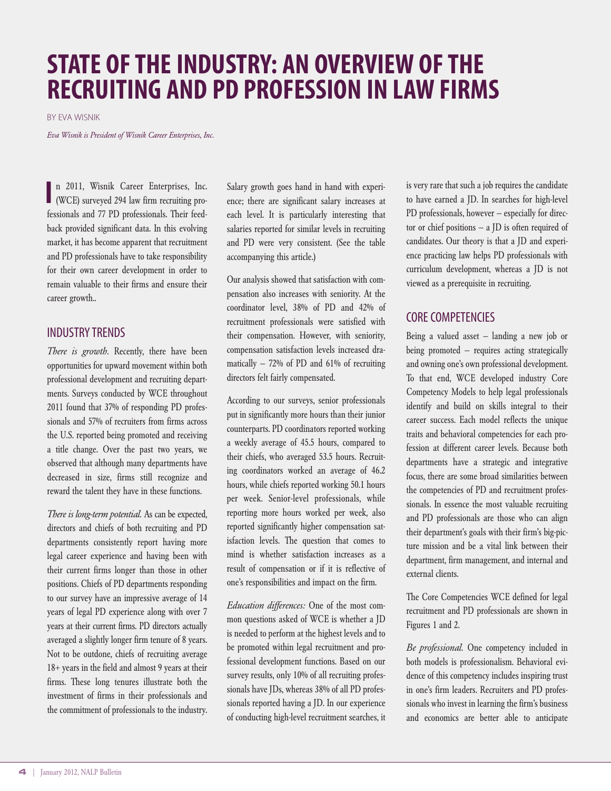# **STATE OFTHEINDUSTRY: AN OVERVIEW OFTHE RECRUITING AND PD PROFESSION IN LAW FIRMS**

BY EVA WISNIK

*Eva Wisnik is President of Wisnik Career Enterprises, Inc.*

n 2011, Wisnik Career Enterprises, Inc. (WCE) surveyed 294 law firm recruiting professionals and 77 PD professionals. Their feedback provided significant data. In this evolving market, it has become apparent that recruitment and PD professionals have to take responsibility for their own career development in order to remain valuable to their firms and ensure their career growth.. **I**

### INDUSTRYTRENDS

*There is growth.* Recently, there have been opportunities for upward movement within both professional development and recruiting departments. Surveys conducted by WCE throughout 2011 found that 37% of responding PD professionals and 57% of recruiters from firms across the U.S. reported being promoted and receiving a title change. Over the past two years, we observed that although many departments have decreased in size, firms still recognize and reward the talent they have in these functions.

*There is long-term potential.* As can be expected, directors and chiefs of both recruiting and PD departments consistently report having more legal career experience and having been with their current firms longer than those in other positions. Chiefs of PD departments responding to our survey have an impressive average of 14 years of legal PD experience along with over 7 years at their current firms. PD directors actually averaged a slightly longer firm tenure of 8 years. Not to be outdone, chiefs of recruiting average 18+ years in the field and almost 9 years at their firms. These long tenures illustrate both the investment of firms in their professionals and the commitment of professionals to the industry.

Salary growth goes hand in hand with experience; there are significant salary increases at each level. It is particularly interesting that salaries reported for similar levels in recruiting and PD were very consistent. (See the table accompanying this article.)

Our analysis showed that satisfaction with compensation also increases with seniority. At the coordinator level, 38% of PD and 42% of recruitment professionals were satisfied with their compensation. However, with seniority, compensation satisfaction levels increased dramatically  $-72%$  of PD and 61% of recruiting directors felt fairly compensated.

According to our surveys, senior professionals put in significantly more hours than their junior counterparts. PD coordinators reported working a weekly average of 45.5 hours, compared to their chiefs, who averaged 53.5 hours. Recruiting coordinators worked an average of 46.2 hours, while chiefs reported working 50.1 hours per week. Senior-level professionals, while reporting more hours worked per week, also reported significantly higher compensation satisfaction levels. The question that comes to mind is whether satisfaction increases as a result of compensation or if it is reflective of one's responsibilities and impact on the firm.

*Education differences:* One of the most common questions asked of WCE is whether a JD is needed to perform at the highest levels and to be promoted within legal recruitment and professional development functions. Based on our survey results, only 10% of all recruiting professionals have JDs, whereas 38% of all PD professionals reported having a JD. In our experience of conducting high-level recruitment searches, it

is very rare that such a job requires the candidate to have earned a JD. In searches for high-level PD professionals, however — especially for director or chief positions — a JD is often required of candidates. Our theory is that a JD and experience practicing law helps PD professionals with curriculum development, whereas a JD is not viewed as a prerequisite in recruiting.

## **CORE COMPETENCIES**

Being a valued asset — landing a new job or being promoted — requires acting strategically and owning one's own professional development. To that end, WCE developed industry Core Competency Models to help legal professionals identify and build on skills integral to their career success. Each model reflects the unique traits and behavioral competencies for each profession at different career levels. Because both departments have a strategic and integrative focus, there are some broad similarities between the competencies of PD and recruitment professionals. In essence the most valuable recruiting and PD professionals are those who can align their department's goals with their firm's big-picture mission and be a vital link between their department, firm management, and internal and external clients.

The Core Competencies WCE defined for legal recruitment and PD professionals are shown in Figures 1 and 2.

*Be professional.* One competency included in both models is professionalism. Behavioral evidence of this competency includes inspiring trust in one's firm leaders. Recruiters and PD professionals who invest in learning the firm's business and economics are better able to anticipate